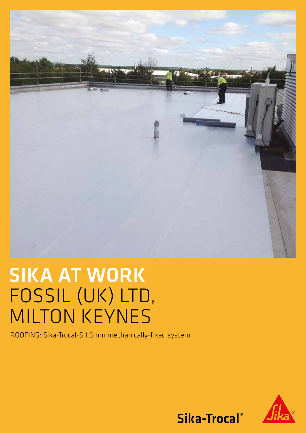

# SIKA AT WORK FOSSIL (UK) LTD, MILTON KEYNES

ROOFING: Sika-Trocal-S 1.5mm mechanically-fixed system



Sika-Trocal®